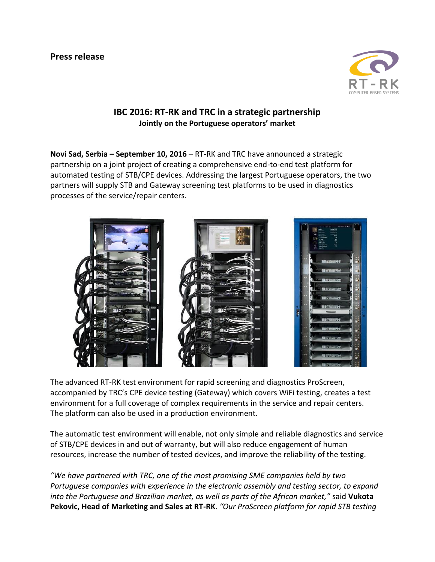

## **IBC 2016: RT-RK and TRC in a strategic partnership Jointly on the Portuguese operators' market**

**Novi Sad, Serbia – September 10, 2016** – RT-RK and TRC have announced a strategic partnership on a joint project of creating a comprehensive end-to-end test platform for automated testing of STB/CPE devices. Addressing the largest Portuguese operators, the two partners will supply STB and Gateway screening test platforms to be used in diagnostics processes of the service/repair centers.



The advanced RT-RK test environment for rapid screening and diagnostics ProScreen, accompanied by TRC's CPE device testing (Gateway) which covers WiFi testing, creates a test environment for a full coverage of complex requirements in the service and repair centers. The platform can also be used in a production environment.

The automatic test environment will enable, not only simple and reliable diagnostics and service of STB/CPE devices in and out of warranty, but will also reduce engagement of human resources, increase the number of tested devices, and improve the reliability of the testing.

*"We have partnered with TRC, one of the most promising SME companies held by two Portuguese companies with experience in the electronic assembly and testing sector, to expand into the Portuguese and Brazilian market, as well as parts of the African market,"* said **Vukota Pekovic, Head of Marketing and Sales at RT-RK**. *"Our ProScreen platform for rapid STB testing*